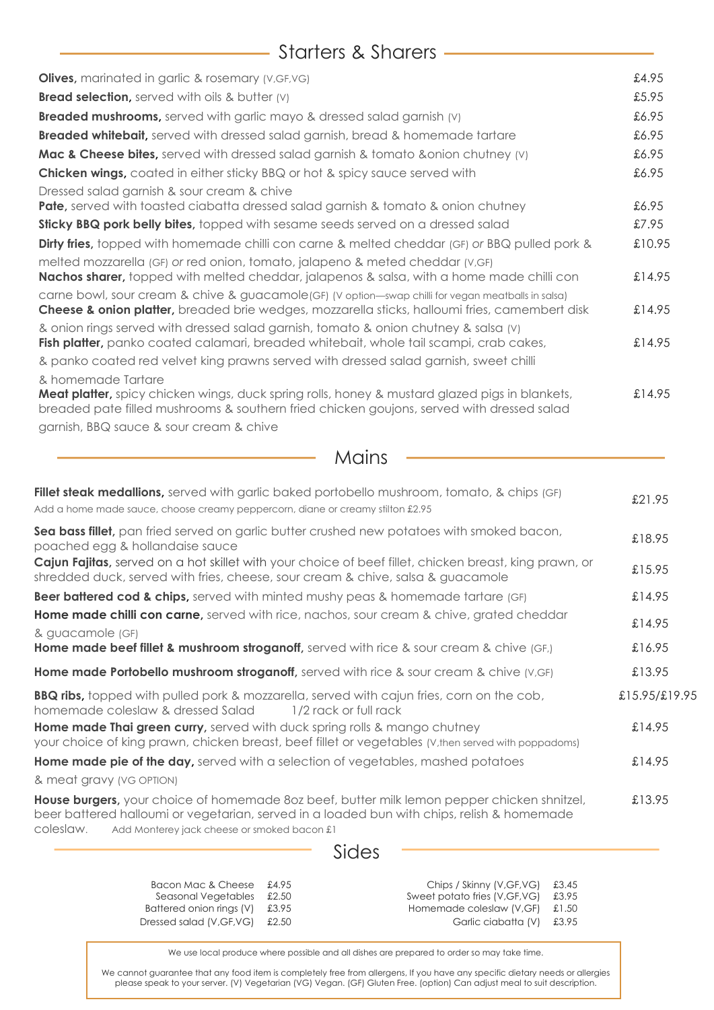# - Starters & Sharers -

| <b>Olives,</b> marinated in garlic & rosemary (V, GF, VG)                                                                                                                                                                | £4.95  |
|--------------------------------------------------------------------------------------------------------------------------------------------------------------------------------------------------------------------------|--------|
| <b>Bread selection, served with oils &amp; butter (V)</b>                                                                                                                                                                | £5.95  |
| <b>Breaded mushrooms,</b> served with garlic mayo & dressed salad garnish (V)                                                                                                                                            | £6.95  |
| <b>Breaded whitebait,</b> served with dressed salad garnish, bread & homemade tartare                                                                                                                                    | £6.95  |
| Mac & Cheese bites, served with dressed salad garnish & tomato &onion chutney (v)                                                                                                                                        | £6.95  |
| <b>Chicken wings, coated in either sticky BBQ or hot &amp; spicy sauce served with</b>                                                                                                                                   | £6.95  |
| Dressed salad garnish & sour cream & chive<br><b>Pate,</b> served with toasted ciabatta dressed salad garnish & tomato & onion chutney                                                                                   | £6.95  |
| Sticky BBQ pork belly bites, topped with sesame seeds served on a dressed salad                                                                                                                                          | £7.95  |
| <b>Dirty fries,</b> topped with homemade chilli con carne & melted cheddar (GF) or BBQ pulled pork &                                                                                                                     | £10.95 |
| melted mozzarella (GF) or red onion, tomato, jalapeno & meted cheddar (V,GF)<br><b>Nachos sharer,</b> topped with melted cheddar, jalapenos & salsa, with a home made chilli con                                         | £14.95 |
| carne bowl, sour cream & chive & guacamole (GF) (V option—swap chilli for vegan meatballs in salsa)<br><b>Cheese &amp; onion platter,</b> breaded brie wedges, mozzarella sticks, halloumi fries, camembert disk         | £14.95 |
| & onion rings served with dressed salad garnish, tomato & onion chutney & salsa (V)<br>Fish platter, panko coated calamari, breaded whitebait, whole tail scampi, crab cakes,                                            | £14.95 |
| & panko coated red velvet king prawns served with dressed salad garnish, sweet chilli                                                                                                                                    |        |
| & homemade Tartare<br><b>Meat platter,</b> spicy chicken wings, duck spring rolls, honey & mustard glazed pigs in blankets,<br>breaded pate filled mushrooms & southern fried chicken goujons, served with dressed salad | £14.95 |
| garnish, BBQ sauce & sour cream & chive                                                                                                                                                                                  |        |

Mains

| <b>Fillet steak medallions,</b> served with garlic baked portobello mushroom, tomato, & chips (GF)<br>Add a home made sauce, choose creamy peppercorn, diane or creamy stilton £2.95                                                                  | £21.95        |
|-------------------------------------------------------------------------------------------------------------------------------------------------------------------------------------------------------------------------------------------------------|---------------|
| Sea bass fillet, pan fried served on garlic butter crushed new potatoes with smoked bacon,<br>poached egg & hollandaise sauce                                                                                                                         | £18.95        |
| <b>Cajun Fajitas,</b> served on a hot skillet with your choice of beef fillet, chicken breast, king prawn, or<br>shredded duck, served with fries, cheese, sour cream & chive, salsa & guacamole                                                      | £15.95        |
| <b>Beer battered cod &amp; chips, served with minted mushy peas &amp; homemade tartare (GF)</b>                                                                                                                                                       | £14.95        |
| Home made chilli con carne, served with rice, nachos, sour cream & chive, grated cheddar<br>& guacamole (GF)                                                                                                                                          | £14.95        |
| Home made beef fillet & mushroom stroganoff, served with rice & sour cream & chive (GF,)                                                                                                                                                              | £16.95        |
| Home made Portobello mushroom stroganoff, served with rice & sour cream & chive (V,GF)                                                                                                                                                                | £13.95        |
| <b>BBQ ribs,</b> topped with pulled pork & mozzarella, served with cajun fries, corn on the cob,<br>homemade coleslaw & dressed Salad<br>1/2 rack or full rack                                                                                        | £15.95/£19.95 |
| Home made Thai green curry, served with duck spring rolls & mango chutney<br>your choice of king prawn, chicken breast, beef fillet or vegetables (V, then served with poppadoms)                                                                     | £14.95        |
| Home made pie of the day, served with a selection of vegetables, mashed potatoes                                                                                                                                                                      | £14.95        |
| & meat gravy (VG OPTION)                                                                                                                                                                                                                              |               |
| House burgers, your choice of homemade 8oz beef, butter milk lemon pepper chicken shnitzel,<br>beer battered halloumi or vegetarian, served in a loaded bun with chips, relish & homemade<br>coleslaw.<br>Add Monterey jack cheese or smoked bacon £1 | £13.95        |

# Sides

| Bacon Mac & Cheese £4.95         | Chips / Skinny (V, GF, VG)     | £3.45 |
|----------------------------------|--------------------------------|-------|
| Seasonal Vegetables £2.50        | Sweet potato fries (V, GF, VG) | £3.95 |
| Battered onion rings $(V)$ £3.95 | Homemade coleslaw (V,GF)       | £1.50 |
| Dressed salad (V,GF,VG) £2.50    | Garlic ciabatta (V) £3.95      |       |
|                                  |                                |       |

We use local produce where possible and all dishes are prepared to order so may take time.

We cannot guarantee that any food item is completely free from allergens, If you have any specific dietary needs or allergies please speak to your server. (V) Vegetarian (VG) Vegan. (GF) Gluten Free. (option) Can adjust meal to suit description.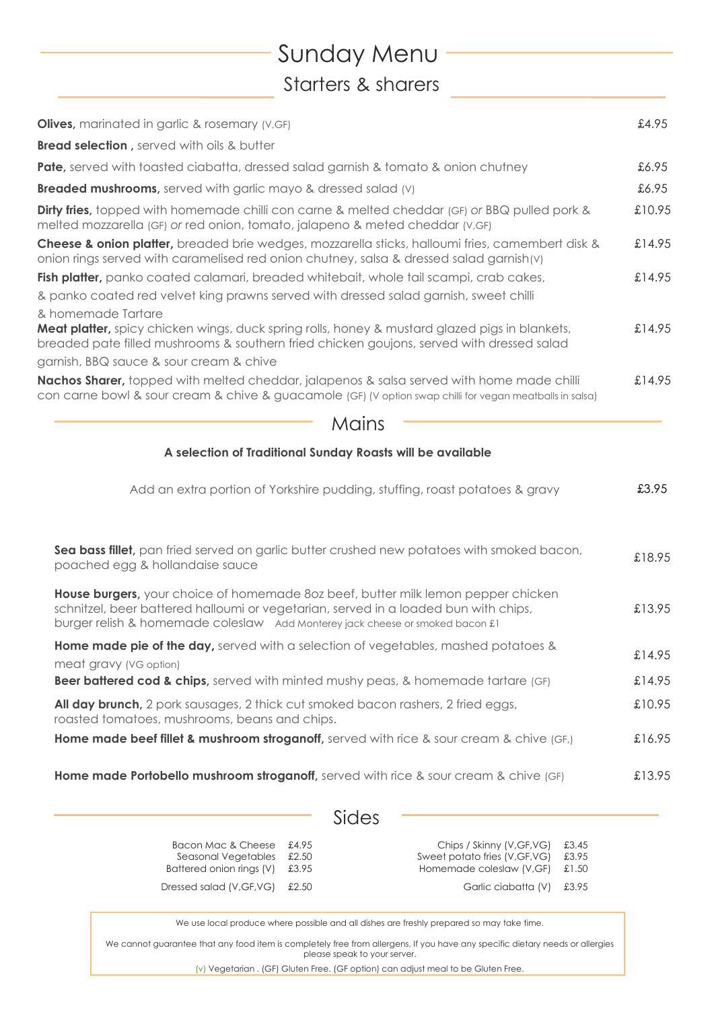# Starters & sharers Sunday Menu

| <b>Olives,</b> marinated in garlic & rosemary (V,GF)                                                                                                                                                         | £4.95  |
|--------------------------------------------------------------------------------------------------------------------------------------------------------------------------------------------------------------|--------|
| <b>Bread selection</b> , served with oils & butter                                                                                                                                                           |        |
| Pate, served with toasted ciabatta, dressed salad garnish & tomato & onion chutney                                                                                                                           | £6.95  |
| <b>Breaded mushrooms,</b> served with garlic mayo & dressed salad (V)                                                                                                                                        | £6.95  |
| <b>Dirty fries,</b> topped with homemade chilli con carne & melted cheddar (GF) or BBQ pulled pork &<br>melted mozzarella (GF) or red onion, tomato, jalapeno & meted cheddar (V,GF)                         | £10.95 |
| <b>Cheese &amp; onion platter,</b> breaded brie wedges, mozzarella sticks, halloumi fries, camembert disk &<br>onion rings served with caramelised red onion chutney, salsa & dressed salad garnish(v)       | £14.95 |
| Fish platter, panko coated calamari, breaded whitebait, whole tail scampi, crab cakes,                                                                                                                       | £14.95 |
| & panko coated red velvet king prawns served with dressed salad garnish, sweet chilli                                                                                                                        |        |
| & homemade Tartare                                                                                                                                                                                           |        |
| Meat platter, spicy chicken wings, duck spring rolls, honey & mustard glazed pigs in blankets,<br>breaded pate filled mushrooms & southern fried chicken goujons, served with dressed salad                  | £14.95 |
| garnish, BBQ sauce & sour cream & chive                                                                                                                                                                      |        |
| <b>Nachos Sharer,</b> topped with melted cheddar, jalapenos & salsa served with home made chilli<br>con carne bowl & sour cream & chive & guacamole (GF) (V option swap chilli for vegan meatballs in salsa) | £14.95 |
|                                                                                                                                                                                                              |        |

**Mains** 

### **A selection of Traditional Sunday Roasts will be available**

| Add an extra portion of Yorkshire pudding, stuffing, roast potatoes & gravy                                                                                                                                                                                      | £3.95            |
|------------------------------------------------------------------------------------------------------------------------------------------------------------------------------------------------------------------------------------------------------------------|------------------|
| Sea bass fillet, pan fried served on garlic butter crushed new potatoes with smoked bacon,<br>poached egg & hollandaise sauce                                                                                                                                    | £18.95           |
| <b>House burgers,</b> your choice of homemade 8oz beef, butter milk lemon pepper chicken<br>schnitzel, beer battered halloumi or vegetarian, served in a loaded bun with chips,<br>burger relish & homemade coleslaw Add Monterey jack cheese or smoked bacon £1 | £13.95           |
| <b>Home made pie of the day,</b> served with a selection of vegetables, mashed potatoes &<br>meat gravy (VG option)<br><b>Beer battered cod &amp; chips,</b> served with minted mushy peas, & homemade tartare (GF)                                              | £14.95<br>£14.95 |
| <b>All day brunch</b> , 2 pork sausages, 2 thick cut smoked bacon rashers, 2 fried eggs,<br>roasted tomatoes, mushrooms, beans and chips.                                                                                                                        | £10.95           |
| Home made beef fillet & mushroom stroganoff, served with rice & sour cream & chive (GF,)                                                                                                                                                                         | £16.95           |
| Home made Portobello mushroom stroganoff, served with rice & sour cream & chive (GF)                                                                                                                                                                             | £13.95           |

### Sides

| Bacon Mac & Cheese<br>Seasonal Vegetables<br>Battered onion rings (V) | £4.95<br>£2.50<br>£3.95 | Chips / Skinny (V, GF, VG)<br>Sweet potato fries (V, GF, VG)<br>Homemade coleslaw $(V, GF)$ £1.50 | £3.45<br>£3.95 |
|-----------------------------------------------------------------------|-------------------------|---------------------------------------------------------------------------------------------------|----------------|
| Dressed salad (V, GF, VG) £2.50                                       |                         | Garlic ciabatta (V) £3.95                                                                         |                |

We use local produce where possible and all dishes are freshly prepared so may take time.

We cannot guarantee that any food item is completely free from allergens, If you have any specific dietary needs or allergies please speak to your server.

(v) Vegetarian . (GF) Gluten Free. (GF option) can adjust meal to be Gluten Free.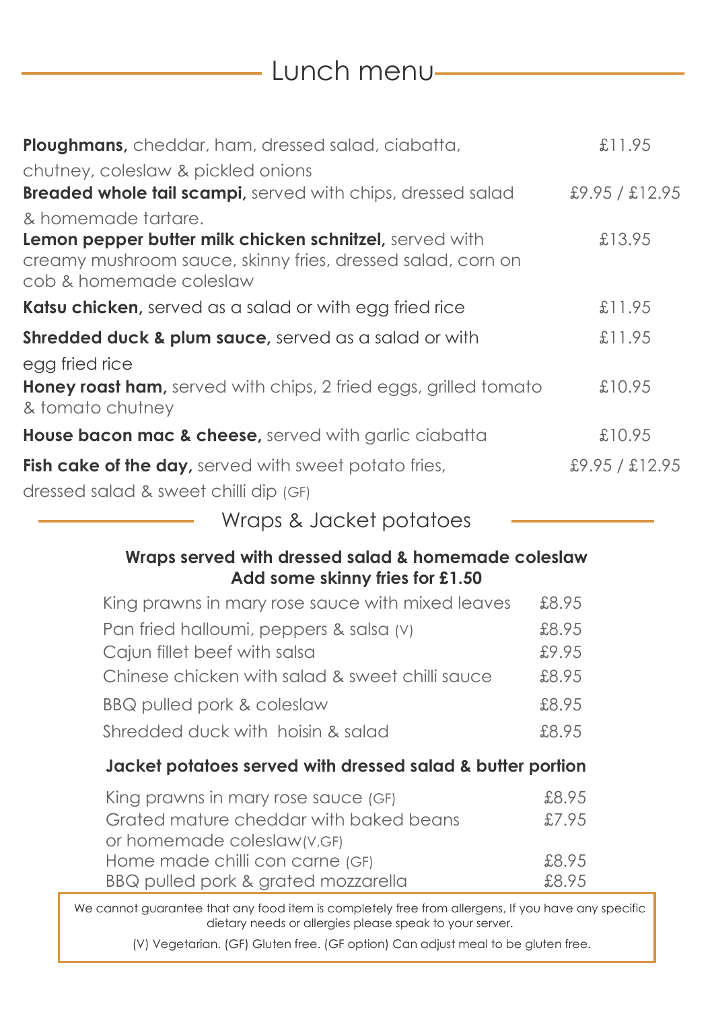## Lunch menu

| Ploughmans, cheddar, ham, dressed salad, ciabatta,                                                                                                                       | £11.95         |
|--------------------------------------------------------------------------------------------------------------------------------------------------------------------------|----------------|
| chutney, coleslaw & pickled onions<br><b>Breaded whole tail scampi</b> , served with chips, dressed salad                                                                | £9.95 / £12.95 |
| & homemade tartare.<br>Lemon pepper butter milk chicken schnitzel, served with<br>creamy mushroom sauce, skinny fries, dressed salad, corn on<br>cob & homemade coleslaw | £13.95         |
| <b>Katsu chicken</b> , served as a salad or with egg fried rice                                                                                                          | £11.95         |
| <b>Shredded duck &amp; plum sauce, served as a salad or with</b><br>egg fried rice                                                                                       | £11.95         |
| <b>Honey roast ham,</b> served with chips, 2 fried eggs, grilled tomato<br>& tomato chutney                                                                              | £10.95         |
| House bacon mac & cheese, served with garlic ciabatta                                                                                                                    | £10.95         |
| Fish cake of the day, served with sweet potato fries,<br>dressed salad & sweet chilli dip (GF)                                                                           | £9.95 / £12.95 |

### Wraps & Jacket potatoes

#### **Wraps served with dressed salad & homemade coleslaw Add some skinny fries for £1.50**

| King prawns in mary rose sauce with mixed leaves | £8.95 |
|--------------------------------------------------|-------|
| Pan fried halloumi, peppers & salsa (V)          | £8.95 |
| Cajun fillet beef with salsa                     | £9.95 |
| Chinese chicken with salad & sweet chilli sauce  | £8.95 |
| BBQ pulled pork & coleslaw                       | £8.95 |
| Shredded duck with hoisin & salad                | £8.95 |

### **Jacket potatoes served with dressed salad & butter portion**

| King prawns in mary rose sauce (GF)    | £8.95 |
|----------------------------------------|-------|
| Grated mature cheddar with baked beans | £7.95 |
| or homemade coleslaw(V,GF)             |       |
| Home made chilli con carne (GF)        | £8.95 |
| BBQ pulled pork & grated mozzarella    | £8.95 |

We cannot guarantee that any food item is completely free from allergens, If you have any specific dietary needs or allergies please speak to your server.

(V) Vegetarian. (GF) Gluten free. (GF option) Can adjust meal to be gluten free.